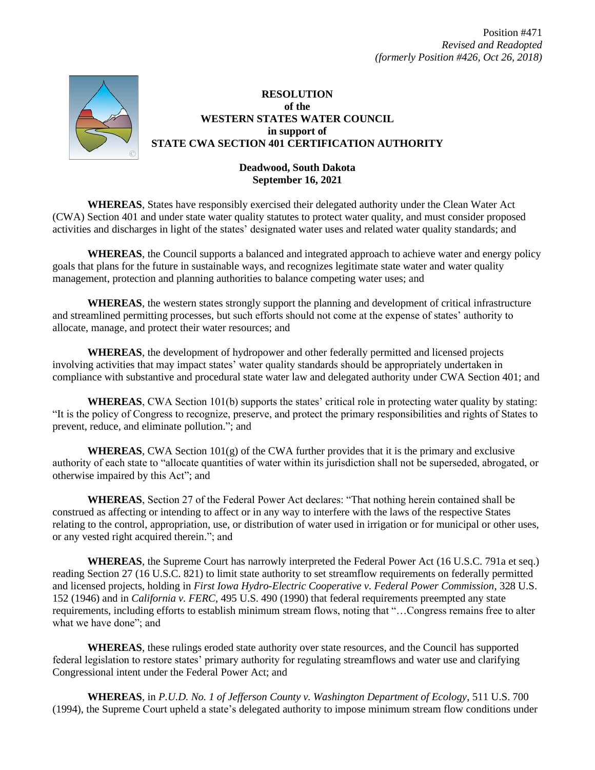

## **RESOLUTION of the WESTERN STATES WATER COUNCIL in support of STATE CWA SECTION 401 CERTIFICATION AUTHORITY**

## **Deadwood, South Dakota September 16, 2021**

**WHEREAS**, States have responsibly exercised their delegated authority under the Clean Water Act (CWA) Section 401 and under state water quality statutes to protect water quality, and must consider proposed activities and discharges in light of the states' designated water uses and related water quality standards; and

**WHEREAS**, the Council supports a balanced and integrated approach to achieve water and energy policy goals that plans for the future in sustainable ways, and recognizes legitimate state water and water quality management, protection and planning authorities to balance competing water uses; and

**WHEREAS**, the western states strongly support the planning and development of critical infrastructure and streamlined permitting processes, but such efforts should not come at the expense of states' authority to allocate, manage, and protect their water resources; and

**WHEREAS**, the development of hydropower and other federally permitted and licensed projects involving activities that may impact states' water quality standards should be appropriately undertaken in compliance with substantive and procedural state water law and delegated authority under CWA Section 401; and

**WHEREAS**, CWA Section 101(b) supports the states' critical role in protecting water quality by stating: "It is the policy of Congress to recognize, preserve, and protect the primary responsibilities and rights of States to prevent, reduce, and eliminate pollution."; and

**WHEREAS**, CWA Section  $101(g)$  of the CWA further provides that it is the primary and exclusive authority of each state to "allocate quantities of water within its jurisdiction shall not be superseded, abrogated, or otherwise impaired by this Act"; and

**WHEREAS**, Section 27 of the Federal Power Act declares: "That nothing herein contained shall be construed as affecting or intending to affect or in any way to interfere with the laws of the respective States relating to the control, appropriation, use, or distribution of water used in irrigation or for municipal or other uses, or any vested right acquired therein."; and

**WHEREAS**, the Supreme Court has narrowly interpreted the Federal Power Act (16 U.S.C. 791a et seq.) reading Section 27 (16 U.S.C. 821) to limit state authority to set streamflow requirements on federally permitted and licensed projects, holding in *First Iowa Hydro-Electric Cooperative v. Federal Power Commission*, 328 U.S. 152 (1946) and in *California v. FERC*, 495 U.S. 490 (1990) that federal requirements preempted any state requirements, including efforts to establish minimum stream flows, noting that "…Congress remains free to alter what we have done"; and

**WHEREAS**, these rulings eroded state authority over state resources, and the Council has supported federal legislation to restore states' primary authority for regulating streamflows and water use and clarifying Congressional intent under the Federal Power Act; and

**WHEREAS**, in *P.U.D. No. 1 of Jefferson County v. Washington Department of Ecology*, 511 U.S. 700 (1994), the Supreme Court upheld a state's delegated authority to impose minimum stream flow conditions under